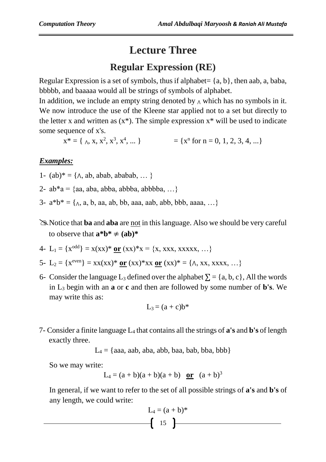## **Lecture Three**

## **Regular Expression (RE)**

Regular Expression is a set of symbols, thus if alphabet=  $\{a, b\}$ , then aab, a, baba, bbbbb, and baaaaa would all be strings of symbols of alphabet.

In addition, we include an empty string denoted by  $\Lambda$  which has no symbols in it. We now introduce the use of the Kleene star applied not to a set but directly to the letter x and written as  $(x^*)$ . The simple expression  $x^*$  will be used to indicate some sequence of x's.

 $x^* = \{\Delta, x, x^2, x^3, x^4, \dots\}$  = { $x^n$  for  $n = 0, 1, 2, 3, 4, \dots$ }

## *Examples:*

- 1-  $(ab)^* = \{ \land, ab, abab, ababab, \dots \}$
- 2-  $ab^*a = \{aa, aba, abba, abbba, abbbba, ...\}$
- 3-  $a^*b^* = \{\Delta, a, b, aa, ab, bb, aaa, aab, abb, bbb, aaaa, ...\}$
- Notice that **ba** and **aba** are not in this language. Also we should be very careful to observe that  $\mathbf{a}^* \mathbf{b}^* \neq (\mathbf{a} \mathbf{b})^*$

4- L<sub>1</sub> = {
$$
x^{\text{odd}}
$$
} =  $x(xx)^*$  or  $(xx)^*x = {x, xxx, xxxx, ...}$ 

5- L<sub>2</sub> = {
$$
x^{even}
$$
} =  $xx(xx)*$  or  $(xx)*xx$  or  $(xx)* = {\Lambda, xx, xxxx, ...}$ 

6- Consider the language L<sub>3</sub> defined over the alphabet  $\Sigma = \{a, b, c\}$ , All the words in L<sup>3</sup> begin with an **a** or **c** and then are followed by some number of **b's**. We may write this as:

$$
L_3 = (a+c)b^*
$$

7- Consider a finite language L<sup>4</sup> that contains all the strings of **a's** and **b's** of length exactly three.

 $L_4$  = {aaa, aab, aba, abb, baa, bab, bba, bbb}

So we may write:

$$
L_4 = (a + b)(a + b)(a + b)
$$
 or  $(a + b)^3$ 

In general, if we want to refer to the set of all possible strings of **a's** and **b's** of any length, we could write:

$$
L_4 = (a + b)^*
$$
  

$$
\left( \begin{array}{c} 15 \end{array} \right)
$$